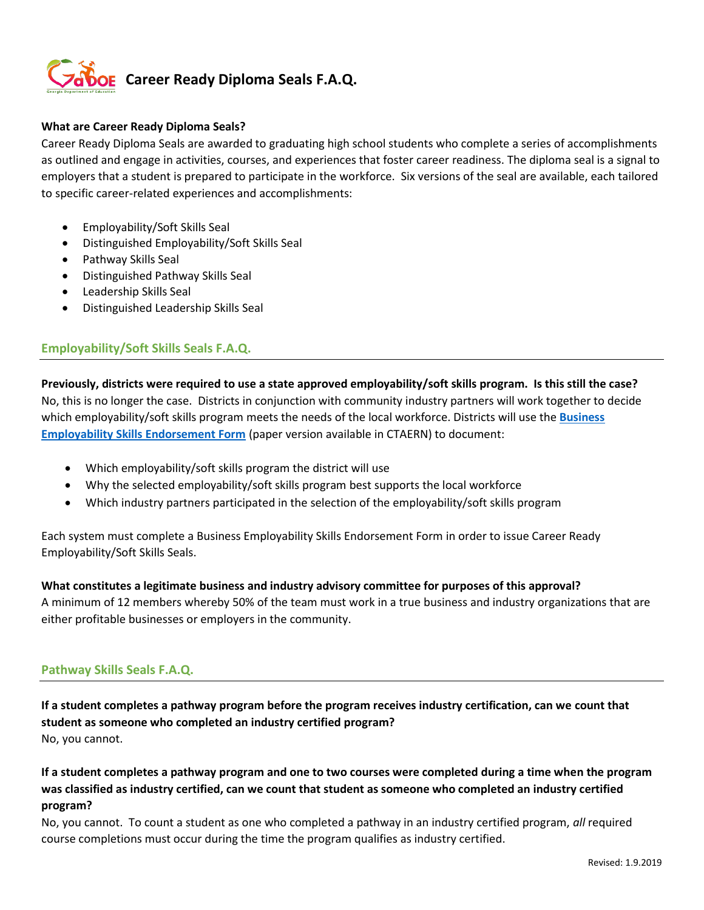

### **What are Career Ready Diploma Seals?**

Career Ready Diploma Seals are awarded to graduating high school students who complete a series of accomplishments as outlined and engage in activities, courses, and experiences that foster career readiness. The diploma seal is a signal to employers that a student is prepared to participate in the workforce. Six versions of the seal are available, each tailored to specific career-related experiences and accomplishments:

- Employability/Soft Skills Seal
- Distinguished Employability/Soft Skills Seal
- Pathway Skills Seal
- Distinguished Pathway Skills Seal
- Leadership Skills Seal
- Distinguished Leadership Skills Seal

# **Employability/Soft Skills Seals F.A.Q.**

**Previously, districts were required to use a state approved employability/soft skills program. Is this still the case?**  No, this is no longer the case. Districts in conjunction with community industry partners will work together to decide which employability/soft skills program meets the needs of the local workforce. Districts will use the **[Business](https://forms.office.com/Pages/ResponsePage.aspx?id=g1ylGkMDy069Ob1_Q4dr154yeyBAHrFBom8RyQhFBvhUN0lOV1BLS0ZIMFg1TUxKT1IyV05DRURDTy4u)  [Employability Skills Endorsement Form](https://forms.office.com/Pages/ResponsePage.aspx?id=g1ylGkMDy069Ob1_Q4dr154yeyBAHrFBom8RyQhFBvhUN0lOV1BLS0ZIMFg1TUxKT1IyV05DRURDTy4u)** (paper version available in CTAERN) to document:

- Which employability/soft skills program the district will use
- Why the selected employability/soft skills program best supports the local workforce
- Which industry partners participated in the selection of the employability/soft skills program

Each system must complete a Business Employability Skills Endorsement Form in order to issue Career Ready Employability/Soft Skills Seals.

#### **What constitutes a legitimate business and industry advisory committee for purposes of this approval?**

A minimum of 12 members whereby 50% of the team must work in a true business and industry organizations that are either profitable businesses or employers in the community.

# **Pathway Skills Seals F.A.Q.**

**If a student completes a pathway program before the program receives industry certification, can we count that student as someone who completed an industry certified program?** No, you cannot.

**If a student completes a pathway program and one to two courses were completed during a time when the program was classified as industry certified, can we count that student as someone who completed an industry certified program?**

No, you cannot. To count a student as one who completed a pathway in an industry certified program, *all* required course completions must occur during the time the program qualifies as industry certified.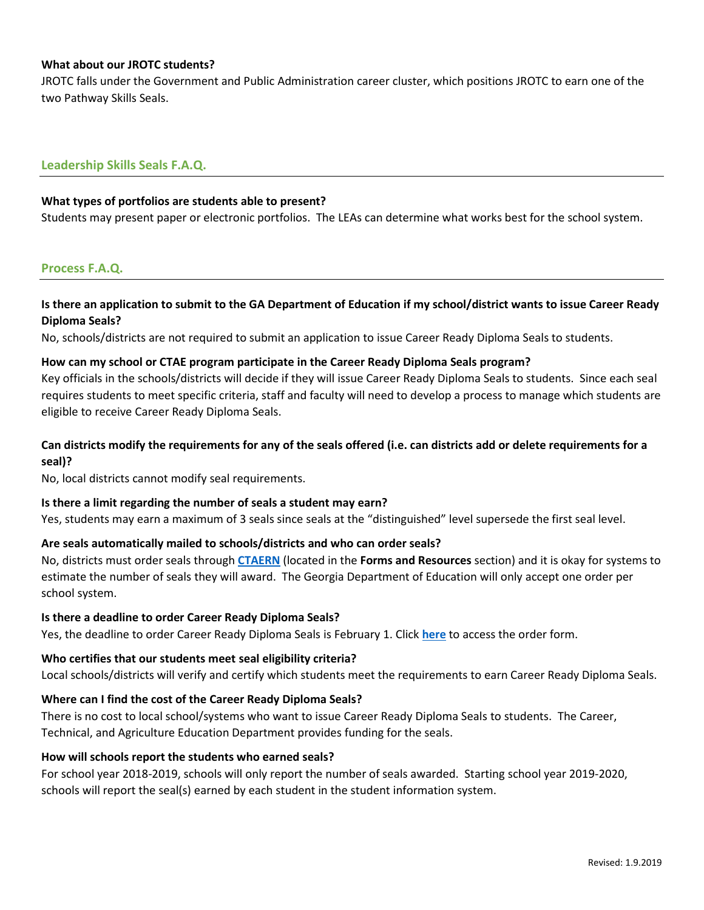### **What about our JROTC students?**

JROTC falls under the Government and Public Administration career cluster, which positions JROTC to earn one of the two Pathway Skills Seals.

### **Leadership Skills Seals F.A.Q.**

#### **What types of portfolios are students able to present?**

Students may present paper or electronic portfolios. The LEAs can determine what works best for the school system.

### **Process F.A.Q.**

# **Is there an application to submit to the GA Department of Education if my school/district wants to issue Career Ready Diploma Seals?**

No, schools/districts are not required to submit an application to issue Career Ready Diploma Seals to students.

#### **How can my school or CTAE program participate in the Career Ready Diploma Seals program?**

Key officials in the schools/districts will decide if they will issue Career Ready Diploma Seals to students. Since each seal requires students to meet specific criteria, staff and faculty will need to develop a process to manage which students are eligible to receive Career Ready Diploma Seals.

# **Can districts modify the requirements for any of the seals offered (i.e. can districts add or delete requirements for a seal)?**

No, local districts cannot modify seal requirements.

#### **Is there a limit regarding the number of seals a student may earn?**

Yes, students may earn a maximum of 3 seals since seals at the "distinguished" level supersede the first seal level.

### **Are seals automatically mailed to schools/districts and who can order seals?**

No, districts must order seals through **[CTAERN](https://ctaern.org/)** (located in the **Forms and Resources** section) and it is okay for systems to estimate the number of seals they will award. The Georgia Department of Education will only accept one order per school system.

#### **Is there a deadline to order Career Ready Diploma Seals?**

Yes, the deadline to order Career Ready Diploma Seals is February 1. Click **[here](https://forms.office.com/Pages/ResponsePage.aspx?id=g1ylGkMDy069Ob1_Q4dr154yeyBAHrFBom8RyQhFBvhUQVpCVUxUMEUwWU1QWUVaWEpBUVg3T0ZXNC4u)** to access the order form.

#### **Who certifies that our students meet seal eligibility criteria?**

Local schools/districts will verify and certify which students meet the requirements to earn Career Ready Diploma Seals.

#### **Where can I find the cost of the Career Ready Diploma Seals?**

There is no cost to local school/systems who want to issue Career Ready Diploma Seals to students. The Career, Technical, and Agriculture Education Department provides funding for the seals.

#### **How will schools report the students who earned seals?**

For school year 2018-2019, schools will only report the number of seals awarded. Starting school year 2019-2020, schools will report the seal(s) earned by each student in the student information system.